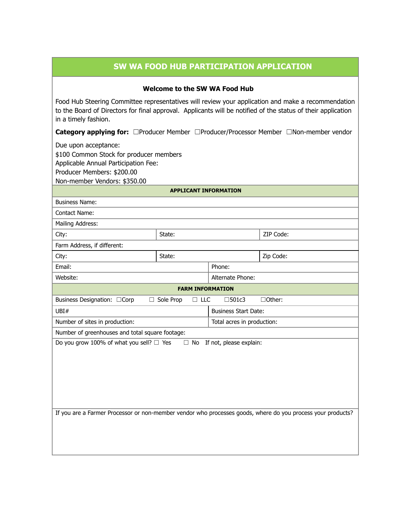## **SW WA FOOD HUB PARTICIPATION APPLICATION**

#### **Welcome to the SW WA Food Hub**

Food Hub Steering Committee representatives will review your application and make a recommendation to the Board of Directors for final approval. Applicants will be notified of the status of their application in a timely fashion.

**Category applying for:** ☐Producer Member ☐Producer/Processor Member ☐Non-member vendor

Due upon acceptance:

\$100 Common Stock for producer members

Applicable Annual Participation Fee:

Producer Members: \$200.00

Non-member Vendors: \$350.00

**APPLICANT INFORMATION**

| State:                                                                                                      |                             | ZIP Code:  |  |
|-------------------------------------------------------------------------------------------------------------|-----------------------------|------------|--|
| Farm Address, if different:                                                                                 |                             |            |  |
| State:                                                                                                      |                             | Zip Code:  |  |
| Phone:                                                                                                      |                             |            |  |
| Alternate Phone:                                                                                            |                             |            |  |
| <b>FARM INFORMATION</b>                                                                                     |                             |            |  |
| Sole Prop<br>$\Box$                                                                                         | $\square$ 501c3             | □Other:    |  |
|                                                                                                             | <b>Business Start Date:</b> |            |  |
| Total acres in production:                                                                                  |                             |            |  |
| Number of greenhouses and total square footage:                                                             |                             |            |  |
| Do you grow 100% of what you sell? $\Box$ Yes<br>If not, please explain:<br>$\Box$ No                       |                             |            |  |
|                                                                                                             |                             |            |  |
|                                                                                                             |                             |            |  |
|                                                                                                             |                             |            |  |
|                                                                                                             |                             |            |  |
|                                                                                                             |                             |            |  |
|                                                                                                             |                             |            |  |
| If you are a Farmer Processor or non-member vendor who processes goods, where do you process your products? |                             |            |  |
|                                                                                                             |                             |            |  |
|                                                                                                             |                             |            |  |
|                                                                                                             |                             |            |  |
|                                                                                                             |                             | $\Box$ LLC |  |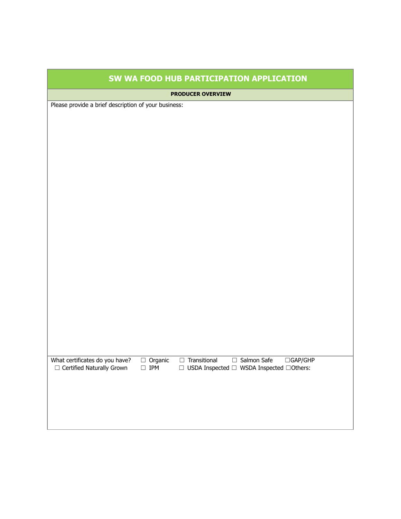| SW WA FOOD HUB PARTICIPATION APPLICATION                                              |  |  |
|---------------------------------------------------------------------------------------|--|--|
| <b>PRODUCER OVERVIEW</b>                                                              |  |  |
| Please provide a brief description of your business:                                  |  |  |
|                                                                                       |  |  |
|                                                                                       |  |  |
|                                                                                       |  |  |
|                                                                                       |  |  |
|                                                                                       |  |  |
|                                                                                       |  |  |
|                                                                                       |  |  |
|                                                                                       |  |  |
|                                                                                       |  |  |
|                                                                                       |  |  |
|                                                                                       |  |  |
|                                                                                       |  |  |
|                                                                                       |  |  |
|                                                                                       |  |  |
|                                                                                       |  |  |
|                                                                                       |  |  |
|                                                                                       |  |  |
| $\Box$ Transitional<br>$\Box$ Organic<br>$\Box$ IPM<br>$\Box$ Salmon Safe<br>□GAP/GHP |  |  |
| $\hfill \Box$ USDA Inspected $\Box$ WSDA Inspected $\Box$ Others:                     |  |  |
|                                                                                       |  |  |
|                                                                                       |  |  |
|                                                                                       |  |  |
|                                                                                       |  |  |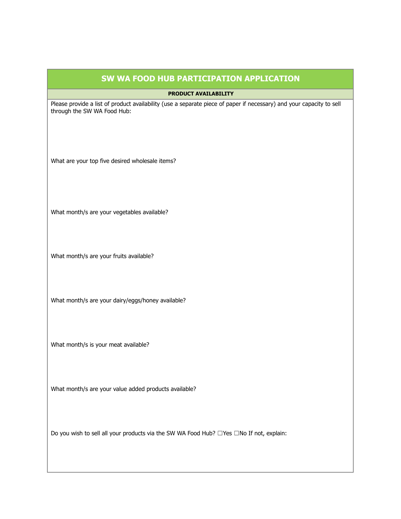## **SW WA FOOD HUB PARTICIPATION APPLICATION**

#### **PRODUCT AVAILABILITY**

Please provide a list of product availability (use a separate piece of paper if necessary) and your capacity to sell through the SW WA Food Hub:

What are your top five desired wholesale items?

What month/s are your vegetables available?

What month/s are your fruits available?

What month/s are your dairy/eggs/honey available?

What month/s is your meat available?

What month/s are your value added products available?

Do you wish to sell all your products via the SW WA Food Hub? □Yes □No If not, explain: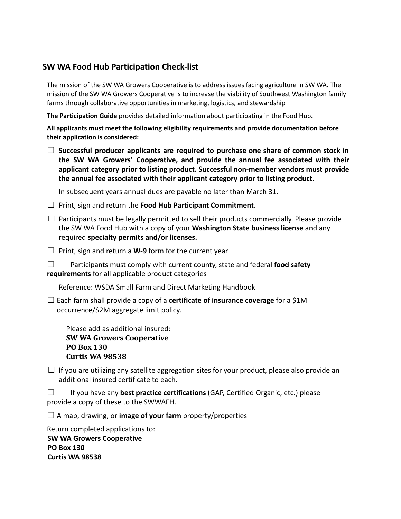## **SW WA Food Hub Participation Check-list**

The mission of the SW WA Growers Cooperative is to address issues facing agriculture in SW WA. The mission of the SW WA Growers Cooperative is to increase the viability of Southwest Washington family farms through collaborative opportunities in marketing, logistics, and stewardship

**The Participation Guide** provides detailed information about participating in the Food Hub.

**All applicants must meet the following eligibility requirements and provide documentation before their application is considered:**

☐ **Successful producer applicants are required to purchase one share of common stock in the SW WA Growers' Cooperative, and provide the annual fee associated with their applicant category prior to listing product. Successful non-member vendors must provide the annual fee associated with their applicant category prior to listing product.**

In subsequent years annual dues are payable no later than March 31.

- ☐ Print, sign and return the **Food Hub Participant Commitment**.
- $\Box$  Participants must be legally permitted to sell their products commercially. Please provide the SW WA Food Hub with a copy of your **Washington State business license** and any required **specialty permits and/or licenses.**
- ☐ Print, sign and return a **W-9** form for the current year
- ☐ Participants must comply with current county, state and federal **food safety requirements** for all applicable product categories

Reference: WSDA Small Farm and Direct Marketing Handbook

☐ Each farm shall provide a copy of a **certificate of insurance coverage** for a \$1M occurrence/\$2M aggregate limit policy.

Please add as additional insured: **SW WA Growers Cooperative PO Box 130 Curtis WA 98538**

 $\Box$  If you are utilizing any satellite aggregation sites for your product, please also provide an additional insured certificate to each.

☐ If you have any **best practice certifications** (GAP, Certified Organic, etc.) please provide a copy of these to the SWWAFH.

☐ A map, drawing, or **image of your farm** property/properties

Return completed applications to: **SW WA Growers Cooperative PO Box 130 Curtis WA 98538**